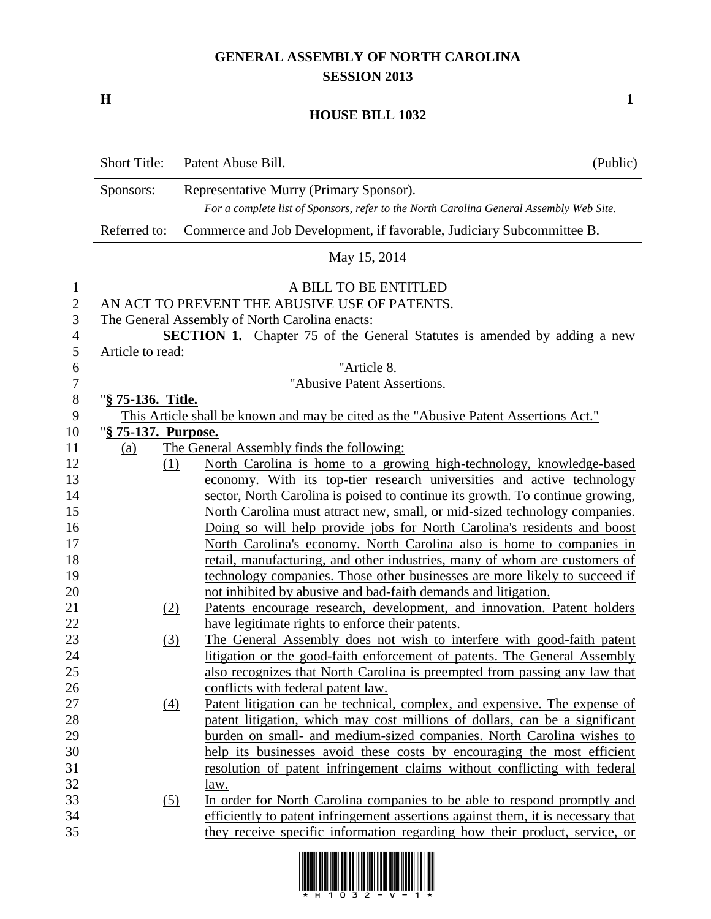## **GENERAL ASSEMBLY OF NORTH CAROLINA SESSION 2013**

**H 1**

## **HOUSE BILL 1032**

|                  | <b>Short Title:</b> | Patent Abuse Bill.                                                                      | (Public) |
|------------------|---------------------|-----------------------------------------------------------------------------------------|----------|
|                  | Sponsors:           | Representative Murry (Primary Sponsor).                                                 |          |
|                  |                     | For a complete list of Sponsors, refer to the North Carolina General Assembly Web Site. |          |
|                  | Referred to:        | Commerce and Job Development, if favorable, Judiciary Subcommittee B.                   |          |
|                  |                     | May 15, 2014                                                                            |          |
| $\mathbf{1}$     |                     | A BILL TO BE ENTITLED                                                                   |          |
| $\mathbf{2}$     |                     | AN ACT TO PREVENT THE ABUSIVE USE OF PATENTS.                                           |          |
| 3                |                     | The General Assembly of North Carolina enacts:                                          |          |
| $\overline{4}$   |                     | <b>SECTION 1.</b> Chapter 75 of the General Statutes is amended by adding a new         |          |
| 5                | Article to read:    |                                                                                         |          |
| 6                |                     | "Article 8.                                                                             |          |
| $\boldsymbol{7}$ |                     | "Abusive Patent Assertions.                                                             |          |
| $8\phantom{1}$   | "§ 75-136. Title.   |                                                                                         |          |
| 9                |                     | This Article shall be known and may be cited as the "Abusive Patent Assertions Act."    |          |
| 10               | "§ 75-137. Purpose. |                                                                                         |          |
| 11               | (a)                 | The General Assembly finds the following:                                               |          |
| 12               | (1)                 | North Carolina is home to a growing high-technology, knowledge-based                    |          |
| 13               |                     | economy. With its top-tier research universities and active technology                  |          |
| 14               |                     | sector, North Carolina is poised to continue its growth. To continue growing,           |          |
| 15               |                     | North Carolina must attract new, small, or mid-sized technology companies.              |          |
| 16               |                     | Doing so will help provide jobs for North Carolina's residents and boost                |          |
| 17               |                     | North Carolina's economy. North Carolina also is home to companies in                   |          |
| 18               |                     | retail, manufacturing, and other industries, many of whom are customers of              |          |
| 19               |                     | technology companies. Those other businesses are more likely to succeed if              |          |
| 20               |                     | not inhibited by abusive and bad-faith demands and litigation.                          |          |
| 21               | (2)                 | Patents encourage research, development, and innovation. Patent holders                 |          |
| 22               |                     | have legitimate rights to enforce their patents.                                        |          |
| 23               | (3)                 | The General Assembly does not wish to interfere with good-faith patent                  |          |
| 24               |                     | litigation or the good-faith enforcement of patents. The General Assembly               |          |
| 25               |                     | also recognizes that North Carolina is preempted from passing any law that              |          |
| 26               |                     | conflicts with federal patent law.                                                      |          |
| 27               | (4)                 | Patent litigation can be technical, complex, and expensive. The expense of              |          |
| 28               |                     | patent litigation, which may cost millions of dollars, can be a significant             |          |
| 29               |                     | burden on small- and medium-sized companies. North Carolina wishes to                   |          |
| 30               |                     | help its businesses avoid these costs by encouraging the most efficient                 |          |
| 31               |                     | resolution of patent infringement claims without conflicting with federal               |          |
| 32               |                     | law.                                                                                    |          |
| 33               | (5)                 | In order for North Carolina companies to be able to respond promptly and                |          |
| 34               |                     | efficiently to patent infringement assertions against them, it is necessary that        |          |
| 35               |                     | they receive specific information regarding how their product, service, or              |          |

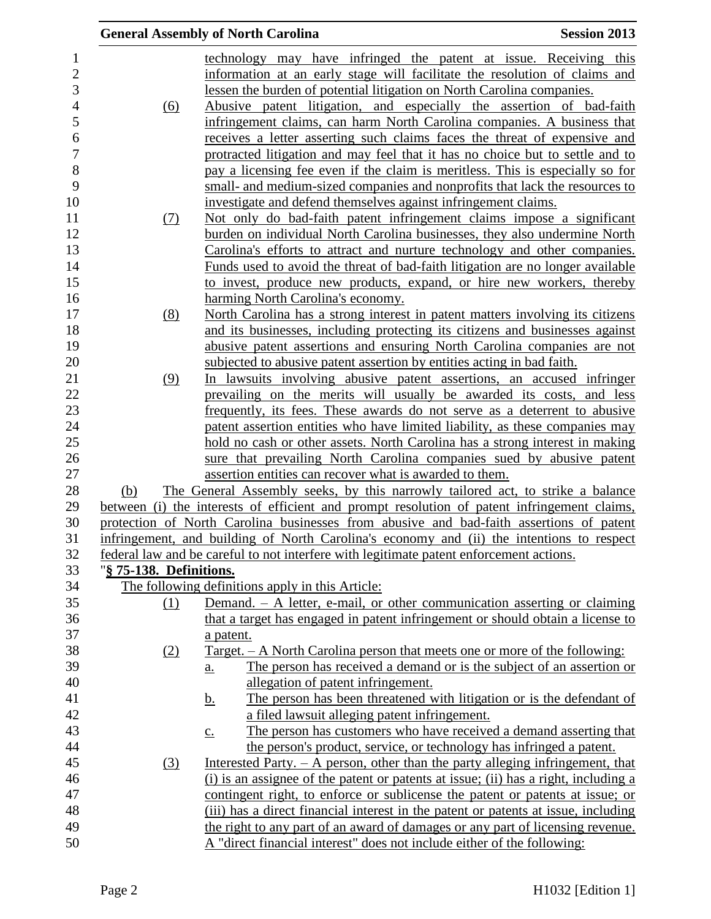|                         | <b>General Assembly of North Carolina</b>                                                                                       | <b>Session 2013</b> |
|-------------------------|---------------------------------------------------------------------------------------------------------------------------------|---------------------|
|                         | technology may have infringed the patent at issue. Receiving this                                                               |                     |
|                         | information at an early stage will facilitate the resolution of claims and                                                      |                     |
|                         | lessen the burden of potential litigation on North Carolina companies.                                                          |                     |
| <u>(6)</u>              | Abusive patent litigation, and especially the assertion of bad-faith                                                            |                     |
|                         | infringement claims, can harm North Carolina companies. A business that                                                         |                     |
|                         | receives a letter asserting such claims faces the threat of expensive and                                                       |                     |
|                         | protracted litigation and may feel that it has no choice but to settle and to                                                   |                     |
|                         | pay a licensing fee even if the claim is meritless. This is especially so for                                                   |                     |
|                         | small- and medium-sized companies and nonprofits that lack the resources to                                                     |                     |
|                         | investigate and defend themselves against infringement claims.                                                                  |                     |
| (7)                     | Not only do bad-faith patent infringement claims impose a significant                                                           |                     |
|                         | burden on individual North Carolina businesses, they also undermine North                                                       |                     |
|                         | Carolina's efforts to attract and nurture technology and other companies.                                                       |                     |
|                         | Funds used to avoid the threat of bad-faith litigation are no longer available                                                  |                     |
|                         | to invest, produce new products, expand, or hire new workers, thereby                                                           |                     |
|                         | harming North Carolina's economy.                                                                                               |                     |
| (8)                     | North Carolina has a strong interest in patent matters involving its citizens                                                   |                     |
|                         | and its businesses, including protecting its citizens and businesses against                                                    |                     |
|                         | abusive patent assertions and ensuring North Carolina companies are not                                                         |                     |
|                         | subjected to abusive patent assertion by entities acting in bad faith.                                                          |                     |
| (9)                     | In lawsuits involving abusive patent assertions, an accused infringer                                                           |                     |
|                         | prevailing on the merits will usually be awarded its costs, and less                                                            |                     |
|                         | frequently, its fees. These awards do not serve as a deterrent to abusive                                                       |                     |
|                         | patent assertion entities who have limited liability, as these companies may                                                    |                     |
|                         | hold no cash or other assets. North Carolina has a strong interest in making                                                    |                     |
|                         | sure that prevailing North Carolina companies sued by abusive patent<br>assertion entities can recover what is awarded to them. |                     |
| (b)                     | The General Assembly seeks, by this narrowly tailored act, to strike a balance                                                  |                     |
|                         | between (i) the interests of efficient and prompt resolution of patent infringement claims,                                     |                     |
|                         | protection of North Carolina businesses from abusive and bad-faith assertions of patent                                         |                     |
|                         | infringement, and building of North Carolina's economy and (ii) the intentions to respect                                       |                     |
|                         | federal law and be careful to not interfere with legitimate patent enforcement actions.                                         |                     |
| "§ 75-138. Definitions. |                                                                                                                                 |                     |
|                         | The following definitions apply in this Article:                                                                                |                     |
| (1)                     | Demand. $-$ A letter, e-mail, or other communication asserting or claiming                                                      |                     |
|                         | that a target has engaged in patent infringement or should obtain a license to                                                  |                     |
|                         | a patent.                                                                                                                       |                     |
| (2)                     | <u>Target. – A North Carolina person that meets one or more of the following:</u>                                               |                     |
|                         | The person has received a demand or is the subject of an assertion or<br>$\underline{a}$ .                                      |                     |
|                         | allegation of patent infringement.                                                                                              |                     |
|                         | The person has been threatened with litigation or is the defendant of<br><u>b.</u>                                              |                     |
|                         | a filed lawsuit alleging patent infringement.                                                                                   |                     |
|                         | The person has customers who have received a demand asserting that<br>$\underline{c}$ .                                         |                     |
|                         | the person's product, service, or technology has infringed a patent.                                                            |                     |
| (3)                     | Interested Party. $- A$ person, other than the party alleging infringement, that                                                |                     |
|                         | (i) is an assignee of the patent or patents at issue; (ii) has a right, including a                                             |                     |
|                         | contingent right, to enforce or sublicense the patent or patents at issue; or                                                   |                     |
|                         | (iii) has a direct financial interest in the patent or patents at issue, including                                              |                     |
|                         | the right to any part of an award of damages or any part of licensing revenue.                                                  |                     |
|                         | A "direct financial interest" does not include either of the following:                                                         |                     |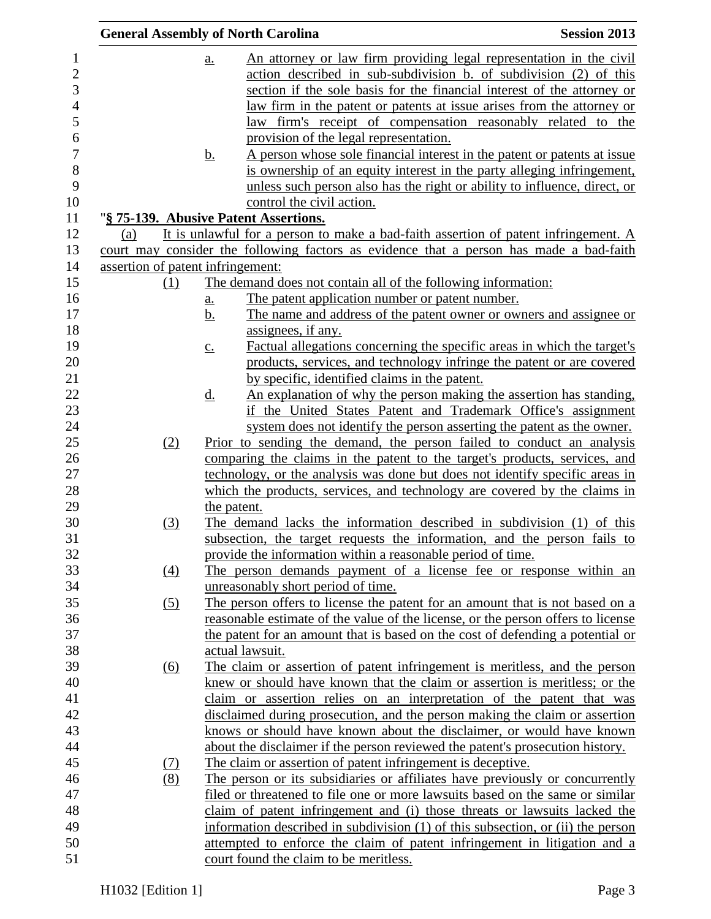| <b>Session 2013</b><br><b>General Assembly of North Carolina</b> |                   |                                                                                         |                                                                                                                                                     |
|------------------------------------------------------------------|-------------------|-----------------------------------------------------------------------------------------|-----------------------------------------------------------------------------------------------------------------------------------------------------|
|                                                                  | a.                |                                                                                         | An attorney or law firm providing legal representation in the civil                                                                                 |
|                                                                  |                   |                                                                                         | action described in sub-subdivision b. of subdivision (2) of this                                                                                   |
|                                                                  |                   |                                                                                         | section if the sole basis for the financial interest of the attorney or                                                                             |
|                                                                  |                   |                                                                                         | law firm in the patent or patents at issue arises from the attorney or                                                                              |
|                                                                  |                   |                                                                                         | law firm's receipt of compensation reasonably related to the                                                                                        |
|                                                                  |                   | provision of the legal representation.                                                  |                                                                                                                                                     |
|                                                                  | <u>b.</u>         |                                                                                         | A person whose sole financial interest in the patent or patents at issue                                                                            |
|                                                                  |                   |                                                                                         | is ownership of an equity interest in the party alleging infringement,<br>unless such person also has the right or ability to influence, direct, or |
|                                                                  |                   | control the civil action.                                                               |                                                                                                                                                     |
| "§ 75-139. Abusive Patent Assertions.                            |                   |                                                                                         |                                                                                                                                                     |
| (a)                                                              |                   | It is unlawful for a person to make a bad-faith assertion of patent infringement. A     |                                                                                                                                                     |
|                                                                  |                   | court may consider the following factors as evidence that a person has made a bad-faith |                                                                                                                                                     |
| assertion of patent infringement:                                |                   |                                                                                         |                                                                                                                                                     |
| (1)                                                              |                   | The demand does not contain all of the following information:                           |                                                                                                                                                     |
|                                                                  | a.                | The patent application number or patent number.                                         |                                                                                                                                                     |
|                                                                  | <u>b.</u>         |                                                                                         | The name and address of the patent owner or owners and assignee or                                                                                  |
|                                                                  |                   | assignees, if any.                                                                      |                                                                                                                                                     |
|                                                                  | $\underline{c}$ . |                                                                                         | Factual allegations concerning the specific areas in which the target's                                                                             |
|                                                                  |                   |                                                                                         | products, services, and technology infringe the patent or are covered                                                                               |
|                                                                  |                   | by specific, identified claims in the patent.                                           |                                                                                                                                                     |
|                                                                  | <u>d.</u>         |                                                                                         | An explanation of why the person making the assertion has standing,                                                                                 |
|                                                                  |                   |                                                                                         | if the United States Patent and Trademark Office's assignment                                                                                       |
|                                                                  |                   |                                                                                         | system does not identify the person asserting the patent as the owner.                                                                              |
| (2)                                                              |                   | Prior to sending the demand, the person failed to conduct an analysis                   |                                                                                                                                                     |
|                                                                  |                   | comparing the claims in the patent to the target's products, services, and              |                                                                                                                                                     |
|                                                                  |                   | technology, or the analysis was done but does not identify specific areas in            |                                                                                                                                                     |
|                                                                  |                   | which the products, services, and technology are covered by the claims in               |                                                                                                                                                     |
|                                                                  | the patent.       |                                                                                         |                                                                                                                                                     |
| (3)                                                              |                   | The demand lacks the information described in subdivision (1) of this                   |                                                                                                                                                     |
|                                                                  |                   | subsection, the target requests the information, and the person fails to                |                                                                                                                                                     |
|                                                                  |                   | provide the information within a reasonable period of time.                             |                                                                                                                                                     |
| (4)                                                              |                   | The person demands payment of a license fee or response within an                       |                                                                                                                                                     |
|                                                                  |                   | unreasonably short period of time.                                                      |                                                                                                                                                     |
| (5)                                                              |                   | The person offers to license the patent for an amount that is not based on a            |                                                                                                                                                     |
|                                                                  |                   | reasonable estimate of the value of the license, or the person offers to license        |                                                                                                                                                     |
|                                                                  |                   | the patent for an amount that is based on the cost of defending a potential or          |                                                                                                                                                     |
|                                                                  |                   | actual lawsuit.                                                                         |                                                                                                                                                     |
| $\underline{(6)}$                                                |                   | The claim or assertion of patent infringement is meritless, and the person              |                                                                                                                                                     |
|                                                                  |                   | knew or should have known that the claim or assertion is meritless; or the              |                                                                                                                                                     |
|                                                                  |                   | claim or assertion relies on an interpretation of the patent that was                   |                                                                                                                                                     |
|                                                                  |                   | disclaimed during prosecution, and the person making the claim or assertion             |                                                                                                                                                     |
|                                                                  |                   | knows or should have known about the disclaimer, or would have known                    |                                                                                                                                                     |
|                                                                  |                   | about the disclaimer if the person reviewed the patent's prosecution history.           |                                                                                                                                                     |
| <u>(7)</u>                                                       |                   | The claim or assertion of patent infringement is deceptive.                             |                                                                                                                                                     |
| (8)                                                              |                   | The person or its subsidiaries or affiliates have previously or concurrently            |                                                                                                                                                     |
|                                                                  |                   | filed or threatened to file one or more lawsuits based on the same or similar           |                                                                                                                                                     |
|                                                                  |                   | claim of patent infringement and (i) those threats or lawsuits lacked the               |                                                                                                                                                     |
|                                                                  |                   | information described in subdivision (1) of this subsection, or (ii) the person         |                                                                                                                                                     |
|                                                                  |                   | attempted to enforce the claim of patent infringement in litigation and a               |                                                                                                                                                     |
|                                                                  |                   | court found the claim to be meritless.                                                  |                                                                                                                                                     |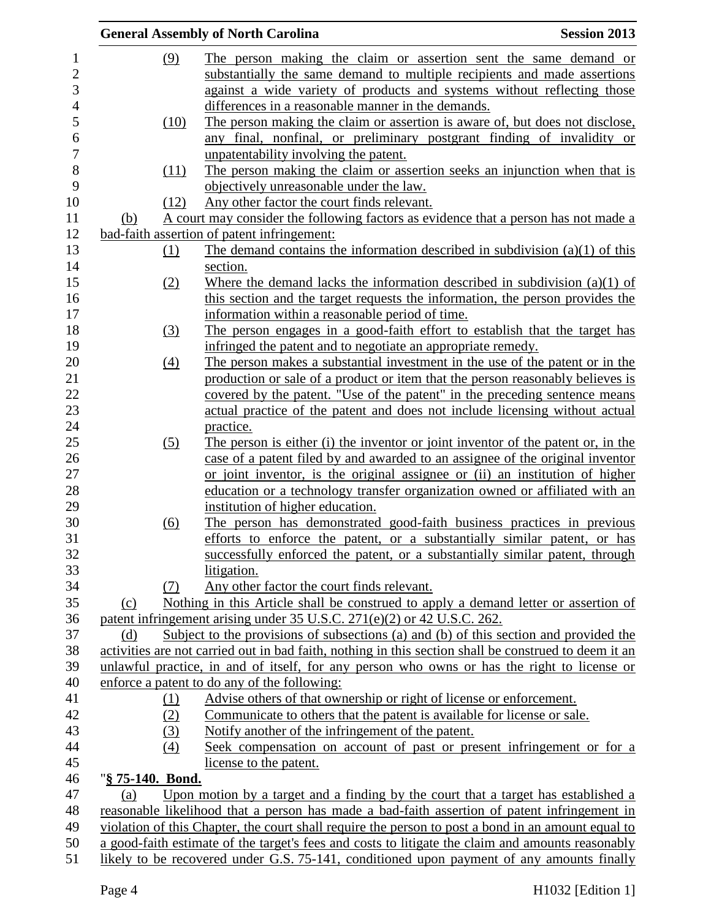|                  | <b>General Assembly of North Carolina</b>                                                                                     | <b>Session 2013</b> |
|------------------|-------------------------------------------------------------------------------------------------------------------------------|---------------------|
| (9)              | The person making the claim or assertion sent the same demand or                                                              |                     |
|                  | substantially the same demand to multiple recipients and made assertions                                                      |                     |
|                  | against a wide variety of products and systems without reflecting those                                                       |                     |
|                  | differences in a reasonable manner in the demands.                                                                            |                     |
| (10)             | The person making the claim or assertion is aware of, but does not disclose,                                                  |                     |
|                  | any final, nonfinal, or preliminary postgrant finding of invalidity or                                                        |                     |
|                  | unpatentability involving the patent.                                                                                         |                     |
| (11)             | The person making the claim or assertion seeks an injunction when that is                                                     |                     |
|                  | objectively unreasonable under the law.                                                                                       |                     |
| (12)             | Any other factor the court finds relevant.                                                                                    |                     |
| <u>(b)</u>       | A court may consider the following factors as evidence that a person has not made a                                           |                     |
|                  | bad-faith assertion of patent infringement:                                                                                   |                     |
|                  | The demand contains the information described in subdivision $(a)(1)$ of this                                                 |                     |
| <u>(1)</u>       | section.                                                                                                                      |                     |
|                  |                                                                                                                               |                     |
| (2)              | Where the demand lacks the information described in subdivision $(a)(1)$ of                                                   |                     |
|                  | this section and the target requests the information, the person provides the                                                 |                     |
|                  | information within a reasonable period of time.<br>The person engages in a good-faith effort to establish that the target has |                     |
| $\left(3\right)$ |                                                                                                                               |                     |
|                  | infringed the patent and to negotiate an appropriate remedy.                                                                  |                     |
| (4)              | The person makes a substantial investment in the use of the patent or in the                                                  |                     |
|                  | production or sale of a product or item that the person reasonably believes is                                                |                     |
|                  | covered by the patent. "Use of the patent" in the preceding sentence means                                                    |                     |
|                  | actual practice of the patent and does not include licensing without actual                                                   |                     |
|                  | practice.                                                                                                                     |                     |
| (5)              | The person is either (i) the inventor or joint inventor of the patent or, in the                                              |                     |
|                  | case of a patent filed by and awarded to an assignee of the original inventor                                                 |                     |
|                  | or joint inventor, is the original assignee or (ii) an institution of higher                                                  |                     |
|                  | education or a technology transfer organization owned or affiliated with an                                                   |                     |
|                  | institution of higher education.                                                                                              |                     |
| (6)              | The person has demonstrated good-faith business practices in previous                                                         |                     |
|                  | efforts to enforce the patent, or a substantially similar patent, or has                                                      |                     |
|                  | successfully enforced the patent, or a substantially similar patent, through                                                  |                     |
|                  | litigation.                                                                                                                   |                     |
| (7)              | Any other factor the court finds relevant.                                                                                    |                     |
| (c)              | Nothing in this Article shall be construed to apply a demand letter or assertion of                                           |                     |
|                  | patent infringement arising under 35 U.S.C. 271(e)(2) or 42 U.S.C. 262.                                                       |                     |
| (d)              | Subject to the provisions of subsections (a) and (b) of this section and provided the                                         |                     |
|                  | activities are not carried out in bad faith, nothing in this section shall be construed to deem it an                         |                     |
|                  | unlawful practice, in and of itself, for any person who owns or has the right to license or                                   |                     |
|                  | enforce a patent to do any of the following:                                                                                  |                     |
| <u>(1)</u>       | Advise others of that ownership or right of license or enforcement.                                                           |                     |
| (2)              | Communicate to others that the patent is available for license or sale.                                                       |                     |
| (3)              | Notify another of the infringement of the patent.                                                                             |                     |
| (4)              | Seek compensation on account of past or present infringement or for a                                                         |                     |
|                  | license to the patent.                                                                                                        |                     |
| "§ 75-140. Bond. |                                                                                                                               |                     |
| (a)              | Upon motion by a target and a finding by the court that a target has established a                                            |                     |
|                  | reasonable likelihood that a person has made a bad-faith assertion of patent infringement in                                  |                     |
|                  | violation of this Chapter, the court shall require the person to post a bond in an amount equal to                            |                     |
|                  | a good-faith estimate of the target's fees and costs to litigate the claim and amounts reasonably                             |                     |
|                  | likely to be recovered under G.S. 75-141, conditioned upon payment of any amounts finally                                     |                     |
|                  |                                                                                                                               |                     |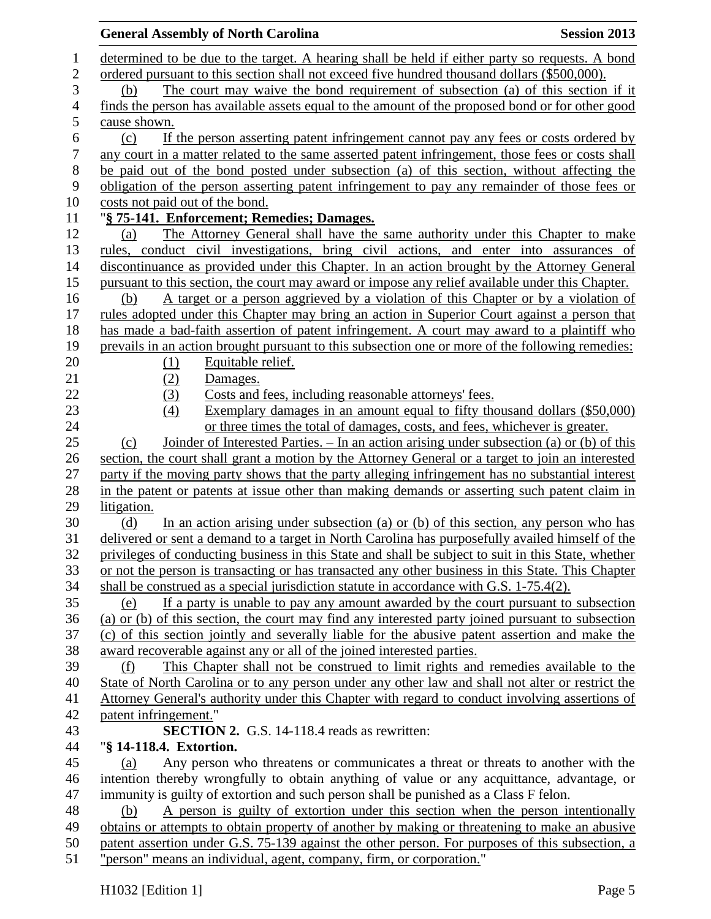| <b>Session 2013</b><br><b>General Assembly of North Carolina</b>                                    |
|-----------------------------------------------------------------------------------------------------|
| determined to be due to the target. A hearing shall be held if either party so requests. A bond     |
| ordered pursuant to this section shall not exceed five hundred thousand dollars (\$500,000).        |
| The court may waive the bond requirement of subsection (a) of this section if it<br>(b)             |
| finds the person has available assets equal to the amount of the proposed bond or for other good    |
| cause shown.                                                                                        |
| If the person asserting patent infringement cannot pay any fees or costs ordered by<br>(c)          |
| any court in a matter related to the same asserted patent infringement, those fees or costs shall   |
| be paid out of the bond posted under subsection (a) of this section, without affecting the          |
| obligation of the person asserting patent infringement to pay any remainder of those fees or        |
| costs not paid out of the bond.                                                                     |
| "§ 75-141. Enforcement; Remedies; Damages.                                                          |
| The Attorney General shall have the same authority under this Chapter to make<br>(a)                |
| rules, conduct civil investigations, bring civil actions, and enter into assurances of              |
| discontinuance as provided under this Chapter. In an action brought by the Attorney General         |
| pursuant to this section, the court may award or impose any relief available under this Chapter.    |
| A target or a person aggrieved by a violation of this Chapter or by a violation of<br>(b)           |
| rules adopted under this Chapter may bring an action in Superior Court against a person that        |
| has made a bad-faith assertion of patent infringement. A court may award to a plaintiff who         |
| prevails in an action brought pursuant to this subsection one or more of the following remedies:    |
| Equitable relief.<br>(1)                                                                            |
| (2)<br>Damages.                                                                                     |
| Costs and fees, including reasonable attorneys' fees.                                               |
| (3)<br>Exemplary damages in an amount equal to fifty thousand dollars (\$50,000)<br>(4)             |
| or three times the total of damages, costs, and fees, whichever is greater.                         |
| Joinder of Interested Parties. – In an action arising under subsection (a) or (b) of this<br>(c)    |
| section, the court shall grant a motion by the Attorney General or a target to join an interested   |
| party if the moving party shows that the party alleging infringement has no substantial interest    |
| in the patent or patents at issue other than making demands or asserting such patent claim in       |
| litigation.                                                                                         |
| In an action arising under subsection (a) or (b) of this section, any person who has<br>(d)         |
| delivered or sent a demand to a target in North Carolina has purposefully availed himself of the    |
| privileges of conducting business in this State and shall be subject to suit in this State, whether |
| or not the person is transacting or has transacted any other business in this State. This Chapter   |
| shall be construed as a special jurisdiction statute in accordance with G.S. 1-75.4(2).             |
| If a party is unable to pay any amount awarded by the court pursuant to subsection<br>(e)           |
| (a) or (b) of this section, the court may find any interested party joined pursuant to subsection   |
| (c) of this section jointly and severally liable for the abusive patent assertion and make the      |
| award recoverable against any or all of the joined interested parties.                              |
| This Chapter shall not be construed to limit rights and remedies available to the<br>(f)            |
| State of North Carolina or to any person under any other law and shall not alter or restrict the    |
| Attorney General's authority under this Chapter with regard to conduct involving assertions of      |
| patent infringement."                                                                               |
| <b>SECTION 2.</b> G.S. 14-118.4 reads as rewritten:                                                 |
| "§ 14-118.4. Extortion.                                                                             |
| Any person who threatens or communicates a threat or threats to another with the                    |
| (a)<br>intention thereby wrongfully to obtain anything of value or any acquittance, advantage, or   |
| immunity is guilty of extortion and such person shall be punished as a Class F felon.               |
| A person is guilty of extortion under this section when the person intentionally<br>(b)             |
| obtains or attempts to obtain property of another by making or threatening to make an abusive       |
| patent assertion under G.S. 75-139 against the other person. For purposes of this subsection, a     |
| "person" means an individual, agent, company, firm, or corporation."                                |
|                                                                                                     |